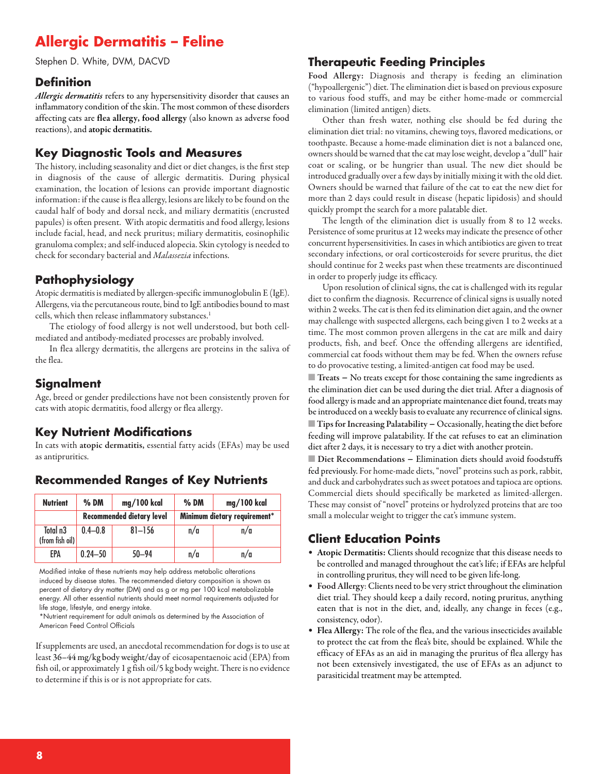# **Allergic Dermatitis – Feline**

Stephen D. White, DVM, DACVD

#### **Definition**

*Allergic dermatitis* refers to any hypersensitivity disorder that causes an inflammatory condition of the skin. The most common of these disorders affecting cats are **flea allergy, food allergy** (also known as adverse food reactions), and **atopic dermatitis.**

### **Key Diagnostic Tools and Measures**

The history, including seasonality and diet or diet changes, is the first step in diagnosis of the cause of allergic dermatitis. During physical examination, the location of lesions can provide important diagnostic information: if the cause is flea allergy, lesions are likely to be found on the caudal half of body and dorsal neck, and miliary dermatitis (encrusted papules) is often present. With atopic dermatitis and food allergy, lesions include facial, head, and neck pruritus; miliary dermatitis, eosinophilic granuloma complex; and self-induced alopecia. Skin cytology is needed to check for secondary bacterial and *Malassezia* infections.

## **Pathophysiology**

Atopic dermatitis is mediated by allergen-specific immunoglobulin E (IgE). Allergens, via the percutaneous route, bind to IgE antibodies bound to mast cells, which then release inflammatory substances. 1

The etiology of food allergy is not well understood, but both cellmediated and antibody-mediated processes are probably involved.

In flea allergy dermatitis, the allergens are proteins in the saliva of the flea.

#### **Signalment**

Age, breed or gender predilections have not been consistently proven for cats with atopic dermatitis, food allergy or flea allergy.

## **Key Nutrient Modifications**

In cats with **atopic dermatitis,** essential fatty acids (EFAs) may be used as antipruritics.

| <b>Nutrient</b>                         | $%$ DM                    | mg/100 kcal | $%$ DM                       | mg/100 kcal |
|-----------------------------------------|---------------------------|-------------|------------------------------|-------------|
|                                         | Recommended dietary level |             | Minimum dietary requirement* |             |
| Total n <sub>3</sub><br>(from fish oil) | $0.4 - 0.8$               | $81 - 156$  | n/a                          | n/a         |
| EPA                                     | $0.24 - 50$               | $50 - 94$   | n/a                          | n/a         |

#### **Recommended Ranges of Key Nutrients**

Modified intake of these nutrients may help address metabolic alterations induced by disease states. The recommended dietary composition is shown as percent of dietary dry matter (DM) and as g or mg per 100 kcal metabolizable energy. All other essential nutrients should meet normal requirements adjusted for life stage, lifestyle, and energy intake.

\*Nutrient requirement for adult animals as determined by the Association of American Feed Control Officials

If supplements are used, an anecdotal recommendation for dogs is to use at least 36–44 mg/kg body weight/day of eicosapentaenoic acid (EPA) from fish oil, or approximately 1 g fish oil/5 kg body weight. There is no evidence to determine if this is or is not appropriate for cats.

#### **Therapeutic Feeding Principles**

**Food Allergy:** Diagnosis and therapy is feeding an elimination ("hypoallergenic") diet. The elimination diet is based on previous exposure to various food stuffs, and may be either home-made or commercial elimination (limited antigen) diets.

Other than fresh water, nothing else should be fed during the elimination diet trial: no vitamins, chewing toys, flavored medications, or toothpaste. Because a home-made elimination diet is not a balanced one, owners should be warned that thecat may lose weight, develop a"dull" hair coat or scaling, or be hungrier than usual. The new diet should be introduced gradually over a few days by initially mixing it with the old diet. Owners should be warned that failure of the cat to eat the new diet for more than 2 days could result in disease (hepatic lipidosis) and should quickly prompt the search for a more palatable diet.

The length of the elimination diet is usually from 8 to 12 weeks. Persistence of some pruritus at 12 weeks may indicate the presence of other concurrent hypersensitivities. In cases in which antibiotics are given to treat secondary infections, or oral corticosteroids for severe pruritus, the diet should continue for 2 weeks past when these treatments are discontinued in order to properly judge its efficacy.

Upon resolution of clinical signs, the cat is challenged with its regular diet to confirm the diagnosis. Recurrence of clinical signs is usually noted within 2 weeks. The cat is then fed its elimination diet again, and the owner may challenge with suspected allergens, each being given 1 to 2 weeks at a time. The most common proven allergens in the cat are milk and dairy products, fish, and beef. Once the offending allergens are identified, commercial cat foods without them may be fed. When the owners refuse to do provocative testing, a limited-antigen cat food may be used.

■ **Treats –** No treats except for those containing the same ingredients as the elimination diet can be used during the diet trial. After a diagnosis of food allergy is made and an appropriate maintenance diet found, treats may be introduced on a weekly basis to evaluate any recurrence of clinical signs. **Tips for Increasing Palatability -** Occasionally, heating the diet before feeding will improve palatability. If the cat refuses to eat an elimination diet after 2 days, it is necessary to try a diet with another protein.

■ **Diet Recommendations** − Elimination diets should avoid foodstuffs fed previously. For home-made diets, "novel" proteins such as pork, rabbit, and duck and carbohydrates such as sweet potatoes and tapioca are options. Commercial diets should specifically be marketed as limited-allergen. These may consist of "novel" proteins or hydrolyzed proteins that are too small a molecular weight to trigger the cat's immune system.

## **Client Education Points**

- **Atopic Dermatitis:** Clients should recognize that this disease needs to be controlled and managed throughout the cat's life; if EFAs are helpful in controlling pruritus, they will need to be given life-long.
- Food Allergy: Clients need to be very strict throughout the elimination diet trial. They should keep a daily record, noting pruritus, anything eaten that is not in the diet, and, ideally, any change in feces (e.g., consistency, odor).
- **Flea Allergy:** The role of the flea, and the various insecticides available to protect the cat from the flea's bite, should be explained. While the efficacy of EFAs as an aid in managing the pruritus of flea allergy has not been extensively investigated, the use of EFAs as an adjunct to parasiticidal treatment may be attempted.